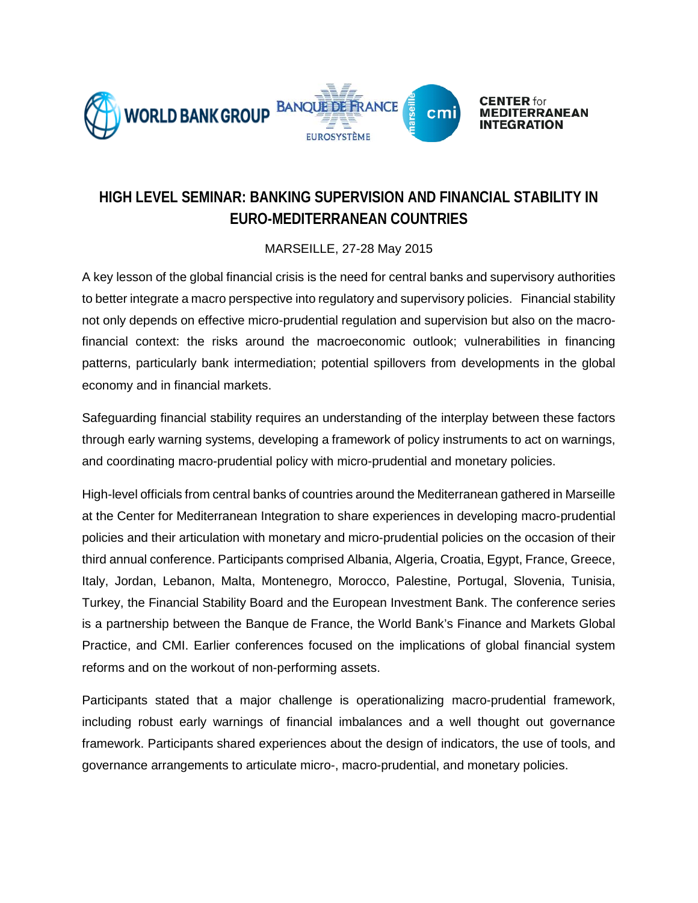

## **HIGH LEVEL SEMINAR: BANKING SUPERVISION AND FINANCIAL STABILITY IN EURO-MEDITERRANEAN COUNTRIES**

## MARSEILLE, 27-28 May 2015

A key lesson of the global financial crisis is the need for central banks and supervisory authorities to better integrate a macro perspective into regulatory and supervisory policies. Financial stability not only depends on effective micro-prudential regulation and supervision but also on the macrofinancial context: the risks around the macroeconomic outlook; vulnerabilities in financing patterns, particularly bank intermediation; potential spillovers from developments in the global economy and in financial markets.

Safeguarding financial stability requires an understanding of the interplay between these factors through early warning systems, developing a framework of policy instruments to act on warnings, and coordinating macro-prudential policy with micro-prudential and monetary policies.

High-level officials from central banks of countries around the Mediterranean gathered in Marseille at the Center for Mediterranean Integration to share experiences in developing macro-prudential policies and their articulation with monetary and micro-prudential policies on the occasion of their third annual conference. Participants comprised Albania, Algeria, Croatia, Egypt, France, Greece, Italy, Jordan, Lebanon, Malta, Montenegro, Morocco, Palestine, Portugal, Slovenia, Tunisia, Turkey, the Financial Stability Board and the European Investment Bank. The conference series is a partnership between the Banque de France, the World Bank's Finance and Markets Global Practice, and CMI. Earlier conferences focused on the implications of global financial system reforms and on the workout of non-performing assets.

Participants stated that a major challenge is operationalizing macro-prudential framework, including robust early warnings of financial imbalances and a well thought out governance framework. Participants shared experiences about the design of indicators, the use of tools, and governance arrangements to articulate micro-, macro-prudential, and monetary policies.